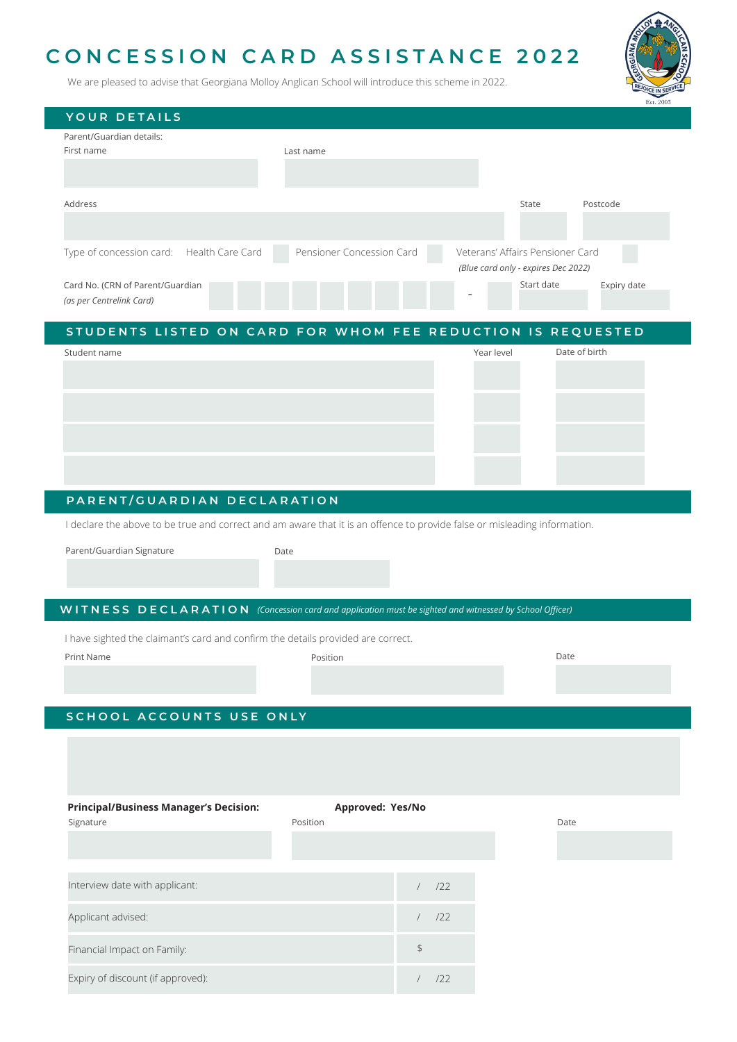# **CONCESSION CARD ASSISTANCE 2022**

We are pleased to advise that Georgiana Molloy Anglican School will introduce this scheme in 2022.

| YOUR DETAILS                              |                           |                                     |
|-------------------------------------------|---------------------------|-------------------------------------|
| Parent/Guardian details:                  |                           |                                     |
| First name                                | Last name                 |                                     |
|                                           |                           |                                     |
|                                           |                           |                                     |
|                                           |                           |                                     |
| Address                                   |                           | Postcode<br>State                   |
|                                           |                           |                                     |
|                                           |                           |                                     |
| Type of concession card: Health Care Card | Pensioner Concession Card | Veterans' Affairs Pensioner Card    |
|                                           |                           | (Blue card only - expires Dec 2022) |
| Card No. (CRN of Parent/Guardian          |                           | Start date<br>Expiry date           |
| (as per Centrelink Card)                  |                           |                                     |

## **STUDENTS LISTED ON CARD FOR WHOM FEE REDUCTION IS REQUESTED**

| Student name | Year level | Date of birth |
|--------------|------------|---------------|
|              |            |               |
|              |            |               |
|              |            |               |
|              |            |               |
|              |            |               |
|              |            |               |
|              |            |               |
|              |            |               |

## **PARENT/GUARDIAN DECLARATION**

I declare the above to be true and correct and am aware that it is an offence to provide false or misleading information.

Parent/Guardian Signature **Date** Date

#### **WITNESS DECLARATION** *(Concession card and application must be sighted and witnessed by School Officer)*

I have sighted the claimant's card and confirm the details provided are correct.

Print Name **Date Report in the Second Position** Position **Prince Prince Prince Position** Date

## **SCHOOL ACCOUNTS USE ONLY**

| <b>Principal/Business Manager's Decision:</b><br>Signature | Approved: Yes/No<br>Position |     |
|------------------------------------------------------------|------------------------------|-----|
|                                                            |                              |     |
|                                                            |                              |     |
| Interview date with applicant:                             |                              | 122 |
| Applicant advised:                                         |                              | 122 |
| Financial Impact on Family:                                |                              | \$  |
| Expiry of discount (if approved):                          |                              | 122 |